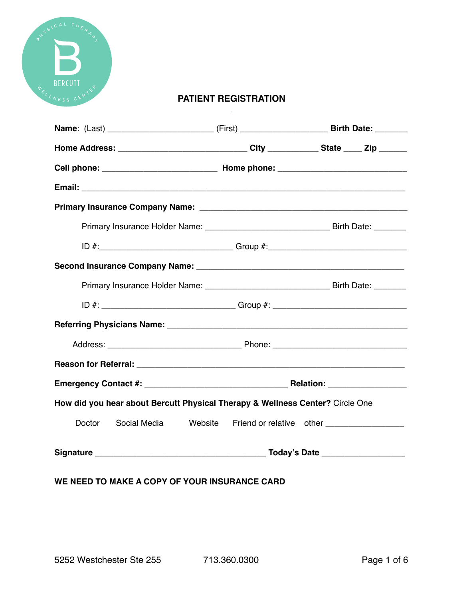

### **PATIENT REGISTRATION**

| Name: (Last) ______________________________(First) ___________________________Birth Date: _________ |  |                                                      |  |  |
|-----------------------------------------------------------------------------------------------------|--|------------------------------------------------------|--|--|
| Home Address: ________________________________City _____________State _____ Zip _______             |  |                                                      |  |  |
|                                                                                                     |  |                                                      |  |  |
|                                                                                                     |  |                                                      |  |  |
|                                                                                                     |  |                                                      |  |  |
|                                                                                                     |  |                                                      |  |  |
|                                                                                                     |  |                                                      |  |  |
|                                                                                                     |  |                                                      |  |  |
|                                                                                                     |  |                                                      |  |  |
| ID #: __________________________________Group #: _______________________________                    |  |                                                      |  |  |
|                                                                                                     |  |                                                      |  |  |
|                                                                                                     |  |                                                      |  |  |
|                                                                                                     |  |                                                      |  |  |
|                                                                                                     |  |                                                      |  |  |
| How did you hear about Bercutt Physical Therapy & Wellness Center? Circle One                       |  |                                                      |  |  |
| Doctor<br>Social Media                                                                              |  | Website Friend or relative other ___________________ |  |  |
|                                                                                                     |  |                                                      |  |  |

## **WE NEED TO MAKE A COPY OF YOUR INSURANCE CARD**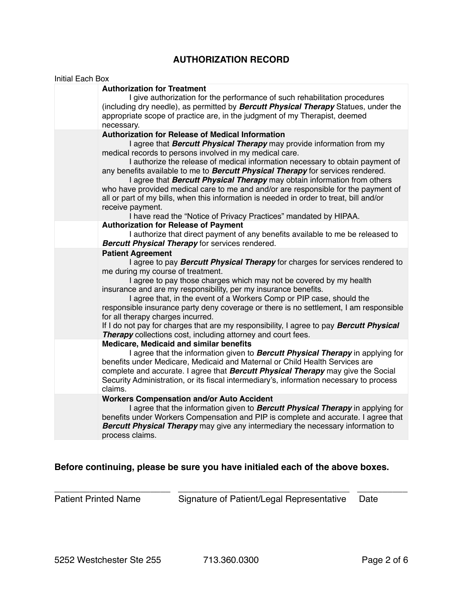## **AUTHORIZATION RECORD**

| <b>Initial Each Box</b>                                                                            |                                                                                                                                                                                                                                                                                                                                                                                                                                                                                                                                                                                                                                                     |
|----------------------------------------------------------------------------------------------------|-----------------------------------------------------------------------------------------------------------------------------------------------------------------------------------------------------------------------------------------------------------------------------------------------------------------------------------------------------------------------------------------------------------------------------------------------------------------------------------------------------------------------------------------------------------------------------------------------------------------------------------------------------|
| <b>Authorization for Treatment</b><br>necessary.                                                   | I give authorization for the performance of such rehabilitation procedures<br>(including dry needle), as permitted by <b>Bercutt Physical Therapy</b> Statues, under the<br>appropriate scope of practice are, in the judgment of my Therapist, deemed                                                                                                                                                                                                                                                                                                                                                                                              |
| <b>Authorization for Release of Medical Information</b><br>receive payment.                        | I agree that <b>Bercutt Physical Therapy</b> may provide information from my<br>medical records to persons involved in my medical care.<br>I authorize the release of medical information necessary to obtain payment of<br>any benefits available to me to Bercutt Physical Therapy for services rendered.<br>I agree that <b>Bercutt Physical Therapy</b> may obtain information from others<br>who have provided medical care to me and and/or are responsible for the payment of<br>all or part of my bills, when this information is needed in order to treat, bill and/or<br>I have read the "Notice of Privacy Practices" mandated by HIPAA. |
| <b>Authorization for Release of Payment</b>                                                        |                                                                                                                                                                                                                                                                                                                                                                                                                                                                                                                                                                                                                                                     |
| <b>Bercutt Physical Therapy for services rendered.</b>                                             | I authorize that direct payment of any benefits available to me be released to                                                                                                                                                                                                                                                                                                                                                                                                                                                                                                                                                                      |
| <b>Patient Agreement</b><br>me during my course of treatment.<br>for all therapy charges incurred. | I agree to pay <b>Bercutt Physical Therapy</b> for charges for services rendered to<br>I agree to pay those charges which may not be covered by my health<br>insurance and are my responsibility, per my insurance benefits.<br>I agree that, in the event of a Workers Comp or PIP case, should the<br>responsible insurance party deny coverage or there is no settlement, I am responsible<br>If I do not pay for charges that are my responsibility, I agree to pay Bercutt Physical<br><b>Therapy</b> collections cost, including attorney and court fees.                                                                                     |
| Medicare, Medicaid and similar benefits<br>claims.                                                 | I agree that the information given to <b>Bercutt Physical Therapy</b> in applying for<br>benefits under Medicare, Medicaid and Maternal or Child Health Services are<br>complete and accurate. I agree that <b>Bercutt Physical Therapy</b> may give the Social<br>Security Administration, or its fiscal intermediary's, information necessary to process                                                                                                                                                                                                                                                                                          |
| <b>Workers Compensation and/or Auto Accident</b><br>process claims.                                | I agree that the information given to <b>Bercutt Physical Therapy</b> in applying for<br>benefits under Workers Compensation and PIP is complete and accurate. I agree that<br><b>Bercutt Physical Therapy</b> may give any intermediary the necessary information to                                                                                                                                                                                                                                                                                                                                                                               |

# **Before continuing, please be sure you have initialed each of the above boxes.**

\_\_\_\_\_\_\_\_\_\_\_\_\_\_\_\_\_\_\_\_\_\_\_ \_\_\_\_\_\_\_\_\_\_\_\_\_\_\_\_\_\_\_\_\_\_\_\_\_\_\_\_\_\_\_\_\_\_ \_\_\_\_\_\_\_\_\_\_

Patient Printed Name Signature of Patient/Legal Representative Date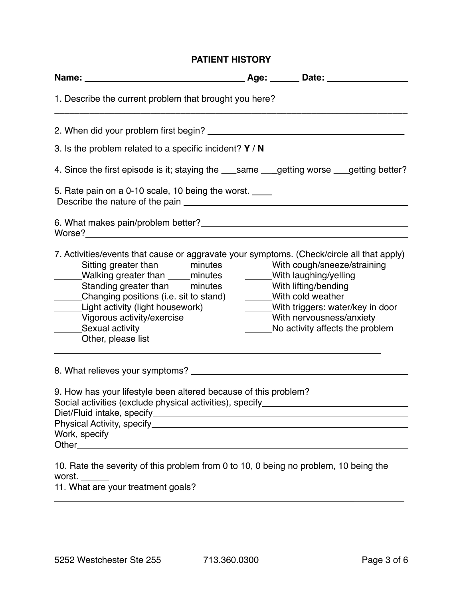### **PATIENT HISTORY**

|                                                                                                                                                                                                                                                                                                                                                                                                                        | Age: Date: 1990 Date:                                                                                                                                                                                                   |  |
|------------------------------------------------------------------------------------------------------------------------------------------------------------------------------------------------------------------------------------------------------------------------------------------------------------------------------------------------------------------------------------------------------------------------|-------------------------------------------------------------------------------------------------------------------------------------------------------------------------------------------------------------------------|--|
| 1. Describe the current problem that brought you here?                                                                                                                                                                                                                                                                                                                                                                 |                                                                                                                                                                                                                         |  |
|                                                                                                                                                                                                                                                                                                                                                                                                                        |                                                                                                                                                                                                                         |  |
| 3. Is the problem related to a specific incident? $Y / N$                                                                                                                                                                                                                                                                                                                                                              |                                                                                                                                                                                                                         |  |
| 4. Since the first episode is it; staying the __same __getting worse __getting better?                                                                                                                                                                                                                                                                                                                                 |                                                                                                                                                                                                                         |  |
| 5. Rate pain on a 0-10 scale, 10 being the worst.                                                                                                                                                                                                                                                                                                                                                                      |                                                                                                                                                                                                                         |  |
| Worse?<br><u> Worse?</u>                                                                                                                                                                                                                                                                                                                                                                                               |                                                                                                                                                                                                                         |  |
| 7. Activities/events that cause or aggravate your symptoms. (Check/circle all that apply)<br>______Sitting greater than _______minutes ________With cough/sneeze/straining<br>______Walking greater than _____minutes<br>______Standing greater than ____minutes<br>______Changing positions (i.e. sit to stand)<br>______Light activity (light housework)<br>_____Vigorous activity/exercise<br>______Sexual activity | _____With laughing/yelling<br>______With lifting/bending<br>_____With cold weather<br>______With triggers: water/key in door<br>With nervousness/anxiety<br>No activity affects the problem<br>$\overline{\phantom{a}}$ |  |
|                                                                                                                                                                                                                                                                                                                                                                                                                        |                                                                                                                                                                                                                         |  |
| 9. How has your lifestyle been altered because of this problem?<br>Social activities (exclude physical activities), specify_                                                                                                                                                                                                                                                                                           |                                                                                                                                                                                                                         |  |
| 10. Rate the severity of this problem from 0 to 10, 0 being no problem, 10 being the                                                                                                                                                                                                                                                                                                                                   |                                                                                                                                                                                                                         |  |

worst.

11. What are your treatment goals?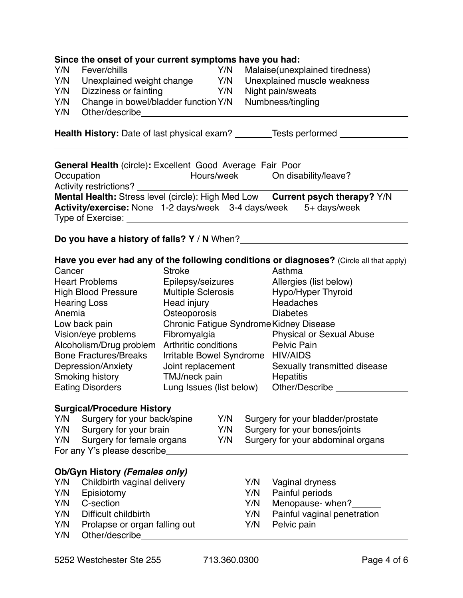|            | Since the onset of your current symptoms have you had:                                                                                                                                                                                                                |                                   |     |                                   |                                                                                                   |  |  |
|------------|-----------------------------------------------------------------------------------------------------------------------------------------------------------------------------------------------------------------------------------------------------------------------|-----------------------------------|-----|-----------------------------------|---------------------------------------------------------------------------------------------------|--|--|
| Y/N        | Fever/chills                                                                                                                                                                                                                                                          |                                   | Y/N |                                   | Malaise(unexplained tiredness)                                                                    |  |  |
| Y/N        | Unexplained weight change Y/N                                                                                                                                                                                                                                         |                                   |     |                                   | Unexplained muscle weakness                                                                       |  |  |
| Y/N        | Dizziness or fainting                                                                                                                                                                                                                                                 | <b>Example 19</b> Y/N             |     |                                   | Night pain/sweats                                                                                 |  |  |
| Y/N        | Change in bowel/bladder function Y/N                                                                                                                                                                                                                                  |                                   |     |                                   | Numbness/tingling                                                                                 |  |  |
| Y/N        | Other/describe expansion of the control of the control of the control of the control of the control of the control of the control of the control of the control of the control of the control of the control of the control of                                        |                                   |     |                                   |                                                                                                   |  |  |
|            | <b>Health History:</b> Date of last physical exam? ________Tests performed ____________                                                                                                                                                                               |                                   |     |                                   |                                                                                                   |  |  |
|            | General Health (circle): Excellent Good Average Fair Poor                                                                                                                                                                                                             |                                   |     |                                   |                                                                                                   |  |  |
|            |                                                                                                                                                                                                                                                                       |                                   |     |                                   | Occupation _____________________Hours/week _______On disability/leave?__________                  |  |  |
|            | Activity restrictions? _______                                                                                                                                                                                                                                        |                                   |     |                                   | Mental Health: Stress level (circle): High Med Low Current psych therapy? Y/N                     |  |  |
|            | Type of Exercise: Network and the state of the state of the state of the state of the state of the state of the                                                                                                                                                       |                                   |     |                                   | Activity/exercise: None 1-2 days/week 3-4 days/week 5+ days/week                                  |  |  |
|            |                                                                                                                                                                                                                                                                       |                                   |     |                                   | Do you have a history of falls? Y / N When?                                                       |  |  |
|            |                                                                                                                                                                                                                                                                       |                                   |     |                                   |                                                                                                   |  |  |
| Cancer     |                                                                                                                                                                                                                                                                       | <b>Stroke</b>                     |     |                                   | Have you ever had any of the following conditions or diagnoses? (Circle all that apply)<br>Asthma |  |  |
|            | <b>Heart Problems</b>                                                                                                                                                                                                                                                 | Epilepsy/seizures                 |     |                                   | Allergies (list below)                                                                            |  |  |
|            | <b>High Blood Pressure</b>                                                                                                                                                                                                                                            | <b>Multiple Sclerosis</b>         |     |                                   | Hypo/Hyper Thyroid                                                                                |  |  |
|            | <b>Hearing Loss</b>                                                                                                                                                                                                                                                   | Head injury                       |     |                                   | Headaches                                                                                         |  |  |
| Anemia     |                                                                                                                                                                                                                                                                       | Osteoporosis                      |     |                                   | <b>Diabetes</b>                                                                                   |  |  |
|            | Low back pain                                                                                                                                                                                                                                                         |                                   |     |                                   | Chronic Fatigue Syndrome Kidney Disease                                                           |  |  |
|            | Vision/eye problems                                                                                                                                                                                                                                                   | Fibromyalgia                      |     |                                   | <b>Physical or Sexual Abuse</b>                                                                   |  |  |
|            | Alcoholism/Drug problem                                                                                                                                                                                                                                               | Arthritic conditions              |     |                                   | <b>Pelvic Pain</b>                                                                                |  |  |
|            | <b>Bone Fractures/Breaks</b>                                                                                                                                                                                                                                          | Irritable Bowel Syndrome HIV/AIDS |     |                                   |                                                                                                   |  |  |
|            | Depression/Anxiety                                                                                                                                                                                                                                                    | Joint replacement                 |     |                                   | Sexually transmitted disease                                                                      |  |  |
|            | TMJ/neck pain<br>Smoking history                                                                                                                                                                                                                                      |                                   |     | Hepatitis                         |                                                                                                   |  |  |
|            | Lung Issues (list below)<br><b>Eating Disorders</b>                                                                                                                                                                                                                   |                                   |     | Other/Describe                    |                                                                                                   |  |  |
|            | <b>Surgical/Procedure History</b>                                                                                                                                                                                                                                     |                                   |     |                                   |                                                                                                   |  |  |
|            |                                                                                                                                                                                                                                                                       |                                   | Y/N |                                   | Surgery for your bladder/prostate                                                                 |  |  |
| Y/N        | Y/N Surgery for your back/spine<br>Surgery for your brain<br>Y/N                                                                                                                                                                                                      |                                   |     | Surgery for your bones/joints     |                                                                                                   |  |  |
| Y/N        | Surgery for female organs<br>Y/N                                                                                                                                                                                                                                      |                                   |     | Surgery for your abdominal organs |                                                                                                   |  |  |
|            | For any Y's please describe                                                                                                                                                                                                                                           |                                   |     |                                   |                                                                                                   |  |  |
|            |                                                                                                                                                                                                                                                                       |                                   |     |                                   |                                                                                                   |  |  |
|            | Ob/Gyn History (Females only)                                                                                                                                                                                                                                         |                                   |     |                                   |                                                                                                   |  |  |
| Y/N        | Childbirth vaginal delivery                                                                                                                                                                                                                                           |                                   |     | Y/N                               | Vaginal dryness                                                                                   |  |  |
| Y/N        | Episiotomy                                                                                                                                                                                                                                                            |                                   |     | Y/N                               | Painful periods                                                                                   |  |  |
| Y/N        | C-section                                                                                                                                                                                                                                                             |                                   |     | Y/N                               | Menopause- when?                                                                                  |  |  |
| Y/N        | Difficult childbirth                                                                                                                                                                                                                                                  |                                   |     | Y/N                               | Painful vaginal penetration                                                                       |  |  |
| Y/N<br>Y/N | Prolapse or organ falling out<br>Other/describe <b>Contract Contract Contract Contract Contract Contract Contract Contract Contract Contract Contract Contract Contract Contract Contract Contract Contract Contract Contract Contract Contract Contract Contract</b> |                                   |     | Y/N                               | Pelvic pain                                                                                       |  |  |
|            |                                                                                                                                                                                                                                                                       |                                   |     |                                   |                                                                                                   |  |  |